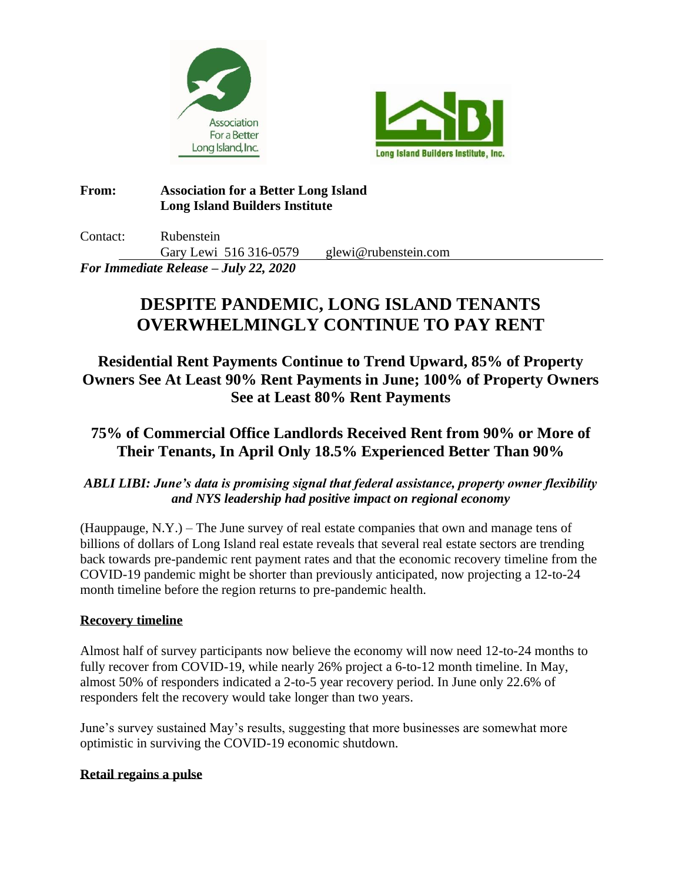



## **From: Association for a Better Long Island Long Island Builders Institute**

Contact: Rubenstein Gary Lewi 516 316-0579 glewi@rubenstein.com *For Immediate Release – July 22, 2020*

# **DESPITE PANDEMIC, LONG ISLAND TENANTS OVERWHELMINGLY CONTINUE TO PAY RENT**

**Residential Rent Payments Continue to Trend Upward, 85% of Property Owners See At Least 90% Rent Payments in June; 100% of Property Owners See at Least 80% Rent Payments**

## **75% of Commercial Office Landlords Received Rent from 90% or More of Their Tenants, In April Only 18.5% Experienced Better Than 90%**

## *ABLI LIBI: June's data is promising signal that federal assistance, property owner flexibility and NYS leadership had positive impact on regional economy*

(Hauppauge,  $N.Y.$ ) – The June survey of real estate companies that own and manage tens of billions of dollars of Long Island real estate reveals that several real estate sectors are trending back towards pre-pandemic rent payment rates and that the economic recovery timeline from the COVID-19 pandemic might be shorter than previously anticipated, now projecting a 12-to-24 month timeline before the region returns to pre-pandemic health.

## **Recovery timeline**

Almost half of survey participants now believe the economy will now need 12-to-24 months to fully recover from COVID-19, while nearly 26% project a 6-to-12 month timeline. In May, almost 50% of responders indicated a 2-to-5 year recovery period. In June only 22.6% of responders felt the recovery would take longer than two years.

June's survey sustained May's results, suggesting that more businesses are somewhat more optimistic in surviving the COVID-19 economic shutdown.

## **Retail regains a pulse**